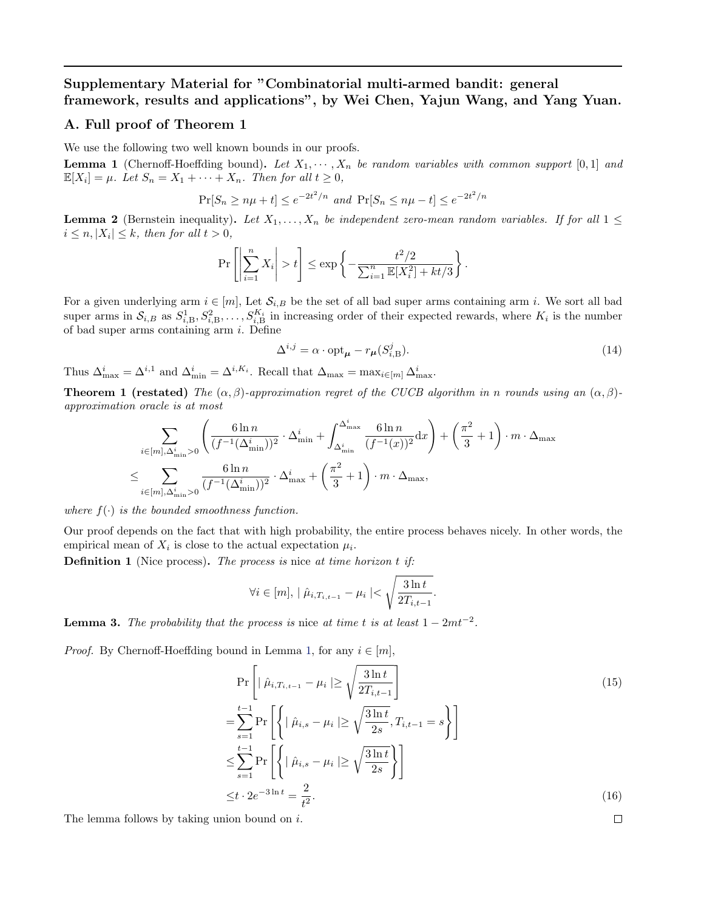# <span id="page-0-0"></span>Supplementary Material for "Combinatorial multi-armed bandit: general framework, results and applications", by Wei Chen, Yajun Wang, and Yang Yuan.

#### A. Full proof of Theorem 1

We use the following two well known bounds in our proofs.

**Lemma 1** (Chernoff-Hoeffding bound). Let  $X_1, \dots, X_n$  be random variables with common support [0,1] and  $\mathbb{E}[X_i] = \mu$ . Let  $S_n = X_1 + \cdots + X_n$ . Then for all  $t \geq 0$ ,

$$
\Pr[S_n \ge n\mu + t] \le e^{-2t^2/n} \text{ and } \Pr[S_n \le n\mu - t] \le e^{-2t^2/n}
$$

**Lemma 2** (Bernstein inequality). Let  $X_1, \ldots, X_n$  be independent zero-mean random variables. If for all  $1 \leq$  $i \leq n, |X_i| \leq k$ , then for all  $t > 0$ ,

$$
\Pr\left[\left|\sum_{i=1}^n X_i\right| > t\right] \le \exp\left\{-\frac{t^2/2}{\sum_{i=1}^n \mathbb{E}[X_i^2] + kt/3}\right\}.
$$

For a given underlying arm  $i \in [m]$ , Let  $\mathcal{S}_{i,B}$  be the set of all bad super arms containing arm i. We sort all bad super arms in  $S_{i,B}$  as  $S_{i,B}^1, S_{i,B}^2, \ldots, S_{i,B}^{K_i}$  in increasing order of their expected rewards, where  $K_i$  is the number of bad super arms containing arm i. Define

$$
\Delta^{i,j} = \alpha \cdot \text{opt}_{\mu} - r_{\mu}(S_{i,B}^j). \tag{14}
$$

Thus  $\Delta_{\max}^i = \Delta^{i,1}$  and  $\Delta_{\min}^i = \Delta^{i,K_i}$ . Recall that  $\Delta_{\max} = \max_{i \in [m]} \Delta_{\max}^i$ .

**Theorem 1 (restated)** The  $(\alpha, \beta)$ -approximation regret of the CUCB algorithm in n rounds using an  $(\alpha, \beta)$ approximation oracle is at most

$$
\sum_{i \in [m], \Delta_{\min}^i > 0} \left( \frac{6 \ln n}{(f^{-1}(\Delta_{\min}^i))^2} \cdot \Delta_{\min}^i + \int_{\Delta_{\min}^i}^{\Delta_{\max}^i} \frac{6 \ln n}{(f^{-1}(x))^2} dx \right) + \left( \frac{\pi^2}{3} + 1 \right) \cdot m \cdot \Delta_{\max}
$$
  

$$
\leq \sum_{i \in [m], \Delta_{\min}^i > 0} \frac{6 \ln n}{(f^{-1}(\Delta_{\min}^i))^2} \cdot \Delta_{\max}^i + \left( \frac{\pi^2}{3} + 1 \right) \cdot m \cdot \Delta_{\max},
$$

where  $f(\cdot)$  is the bounded smoothness function.

Our proof depends on the fact that with high probability, the entire process behaves nicely. In other words, the empirical mean of  $X_i$  is close to the actual expectation  $\mu_i$ .

**Definition 1** (Nice process). The process is nice at time horizon  $t$  if:

$$
\forall i \in [m], \mid \hat{\mu}_{i, T_{i, t-1}} - \mu_i \mid < \sqrt{\frac{3 \ln t}{2T_{i, t-1}}}.
$$

**Lemma 3.** The probability that the process is nice at time t is at least  $1 - 2mt^{-2}$ .

*Proof.* By Chernoff-Hoeffding bound in Lemma 1, for any  $i \in [m]$ ,

$$
\Pr\left[|\hat{\mu}_{i,T_{i,t-1}} - \mu_i| \ge \sqrt{\frac{3\ln t}{2T_{i,t-1}}}\right]
$$
\n
$$
= \sum_{s=1}^{t-1} \Pr\left[\left\{|\hat{\mu}_{i,s} - \mu_i| \ge \sqrt{\frac{3\ln t}{2s}}, T_{i,t-1} = s\right\}\right]
$$
\n
$$
\le \sum_{s=1}^{t-1} \Pr\left[\left\{|\hat{\mu}_{i,s} - \mu_i| \ge \sqrt{\frac{3\ln t}{2s}}\right\}\right]
$$
\n
$$
\le t \cdot 2e^{-3\ln t} = \frac{2}{t^2}.
$$
\n(16)

 $\Box$ 

The lemma follows by taking union bound on i.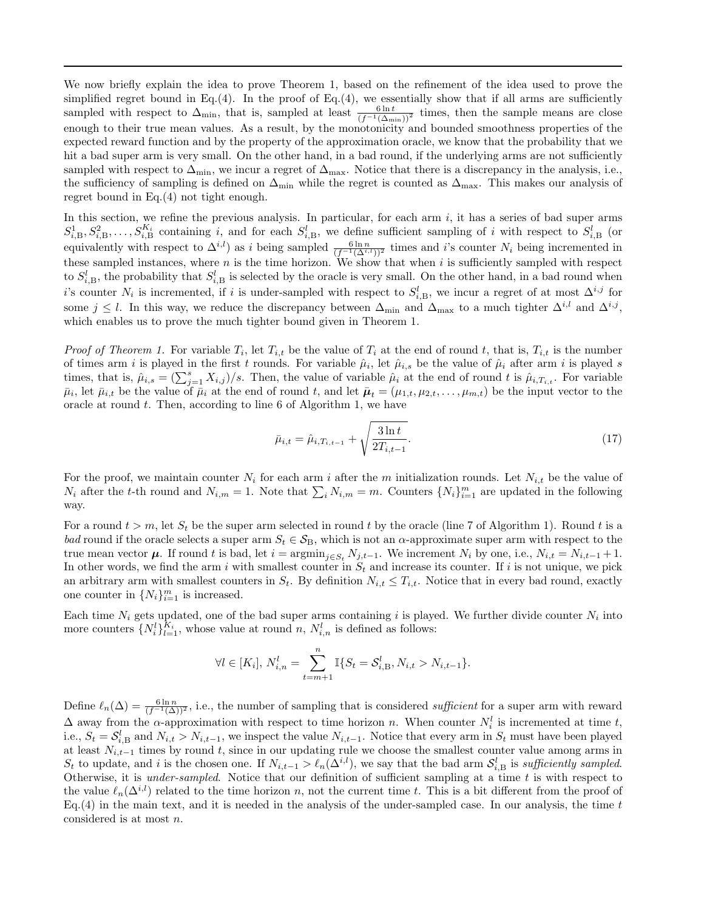We now briefly explain the idea to prove Theorem 1, based on the refinement of the idea used to prove the simplified regret bound in Eq.(4). In the proof of Eq.(4), we essentially show that if all arms are sufficiently sampled with respect to  $\Delta_{\min}$ , that is, sampled at least  $\frac{6 \ln t}{(f^{-1}(\Delta_{\min}))^2}$  times, then the sample means are close enough to their true mean values. As a result, by the monotonicity and bounded smoothness properties of the expected reward function and by the property of the approximation oracle, we know that the probability that we hit a bad super arm is very small. On the other hand, in a bad round, if the underlying arms are not sufficiently sampled with respect to  $\Delta_{\min}$ , we incur a regret of  $\Delta_{\max}$ . Notice that there is a discrepancy in the analysis, i.e., the sufficiency of sampling is defined on  $\Delta_{\min}$  while the regret is counted as  $\Delta_{\max}$ . This makes our analysis of regret bound in Eq.(4) not tight enough.

In this section, we refine the previous analysis. In particular, for each arm  $i$ , it has a series of bad super arms  $S_{i,B}^1, S_{i,B}^2, \ldots, S_{i,B}^{K_i}$  containing i, and for each  $S_{i,B}^l$ , we define sufficient sampling of i with respect to  $S_{i,B}^l$  (or equivalently with respect to  $\Delta^{i,l}$ ) as i being sampled  $\frac{6 \ln n}{(f^{-1}(\Delta^{i,l}))^2}$  times and i's counter  $N_i$  being incremented in these sampled instances, where  $n$  is the time horizon. We show that when  $i$  is sufficiently sampled with respect to  $S_{i,B}^l$ , the probability that  $S_{i,B}^l$  is selected by the oracle is very small. On the other hand, in a bad round when i's counter  $N_i$  is incremented, if i is under-sampled with respect to  $S_{i,B}^l$ , we incur a regret of at most  $\Delta^{i,j}$  for some  $j \leq l$ . In this way, we reduce the discrepancy between  $\Delta_{\min}$  and  $\Delta_{\max}$  to a much tighter  $\Delta^{i,l}$  and  $\Delta^{i,j}$ , which enables us to prove the much tighter bound given in Theorem 1.

*Proof of Theorem 1.* For variable  $T_i$ , let  $T_{i,t}$  be the value of  $T_i$  at the end of round t, that is,  $T_{i,t}$  is the number of times arm i is played in the first t rounds. For variable  $\hat{\mu}_i$ , let  $\hat{\mu}_{i,s}$  be the value of  $\hat{\mu}_i$  after arm i is played s times, that is,  $\hat{\mu}_{i,s} = (\sum_{j=1}^{s} X_{i,j})/s$ . Then, the value of variable  $\hat{\mu}_i$  at the end of round t is  $\hat{\mu}_{i,T_{i,t}}$ . For variable  $\bar{\mu}_i$ , let  $\bar{\mu}_{i,t}$  be the value of  $\bar{\mu}_i$  at the end of round t, and let  $\bar{\mu}_t=(\mu_{1,t},\mu_{2,t},\ldots,\mu_{m,t})$  be the input vector to the oracle at round  $t$ . Then, according to line 6 of Algorithm 1, we have

$$
\bar{\mu}_{i,t} = \hat{\mu}_{i,T_{i,t-1}} + \sqrt{\frac{3\ln t}{2T_{i,t-1}}}.\tag{17}
$$

For the proof, we maintain counter  $N_i$  for each arm i after the m initialization rounds. Let  $N_{i,t}$  be the value of  $N_i$  after the t-th round and  $N_{i,m} = 1$ . Note that  $\sum_i N_{i,m} = m$ . Counters  $\{N_i\}_{i=1}^m$  are updated in the following way.

For a round  $t > m$ , let  $S_t$  be the super arm selected in round t by the oracle (line 7 of Algorithm 1). Round t is a bad round if the oracle selects a super arm  $S_t \in S_B$ , which is not an  $\alpha$ -approximate super arm with respect to the true mean vector  $\mu$ . If round t is bad, let  $i = \operatorname{argmin}_{j \in S_t} N_{j,t-1}$ . We increment  $N_i$  by one, i.e.,  $N_{i,t} = N_{i,t-1} + 1$ . In other words, we find the arm i with smallest counter in  $S_t$  and increase its counter. If i is not unique, we pick an arbitrary arm with smallest counters in  $S_t$ . By definition  $N_{i,t} \leq T_{i,t}$ . Notice that in every bad round, exactly one counter in  $\{N_i\}_{i=1}^m$  is increased.

Each time  $N_i$  gets updated, one of the bad super arms containing i is played. We further divide counter  $N_i$  into more counters  $\{N_i^l\}_{l=1}^{K_i}$ , whose value at round n,  $N_{i,n}^l$  is defined as follows:

$$
\forall l \in [K_i], N_{i,n}^l = \sum_{t=m+1}^n \mathbb{I}\{S_t = S_{i,B}^l, N_{i,t} > N_{i,t-1}\}.
$$

Define  $\ell_n(\Delta) = \frac{6 \ln n}{(f^{-1}(\Delta))^2}$ , i.e., the number of sampling that is considered *sufficient* for a super arm with reward  $\Delta$  away from the  $\alpha$ -approximation with respect to time horizon n. When counter  $N_i^l$  is incremented at time t, i.e.,  $S_t = S_{i,B}^l$  and  $N_{i,t} > N_{i,t-1}$ , we inspect the value  $N_{i,t-1}$ . Notice that every arm in  $S_t$  must have been played at least  $N_{i,t-1}$  times by round t, since in our updating rule we choose the smallest counter value among arms in  $S_t$  to update, and i is the chosen one. If  $N_{i,t-1} > \ell_n(\Delta^{i,l})$ , we say that the bad arm  $\mathcal{S}_{i,B}^l$  is sufficiently sampled. Otherwise, it is *under-sampled*. Notice that our definition of sufficient sampling at a time  $t$  is with respect to the value  $\ell_n(\Delta^{i,l})$  related to the time horizon n, not the current time t. This is a bit different from the proof of  $Eq.(4)$  in the main text, and it is needed in the analysis of the under-sampled case. In our analysis, the time t considered is at most n.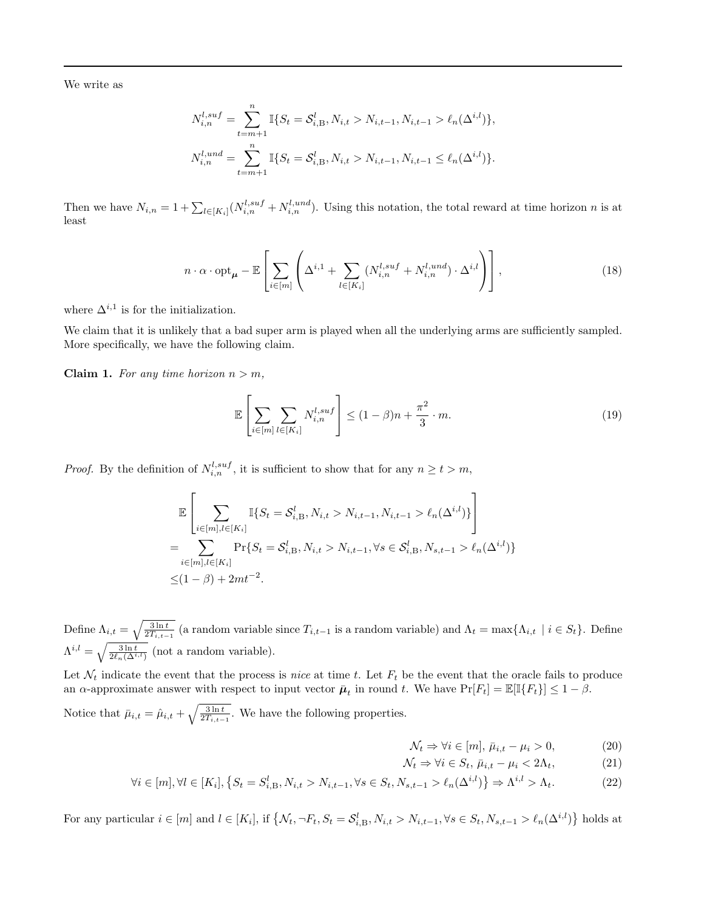<span id="page-2-0"></span>We write as

$$
N_{i,n}^{l,suf} = \sum_{t=m+1}^{n} \mathbb{I}\{S_t = \mathcal{S}_{i,B}^l, N_{i,t} > N_{i,t-1}, N_{i,t-1} > \ell_n(\Delta^{i,l})\},
$$
  

$$
N_{i,n}^{l,und} = \sum_{t=m+1}^{n} \mathbb{I}\{S_t = \mathcal{S}_{i,B}^l, N_{i,t} > N_{i,t-1}, N_{i,t-1} \le \ell_n(\Delta^{i,l})\}.
$$

Then we have  $N_{i,n} = 1 + \sum_{l \in [K_i]} (N_{i,n}^{l,suf} + N_{i,n}^{l,und}).$  Using this notation, the total reward at time horizon n is at least

$$
n \cdot \alpha \cdot \mathrm{opt}_{\mu} - \mathbb{E} \left[ \sum_{i \in [m]} \left( \Delta^{i,1} + \sum_{l \in [K_i]} (N_{i,n}^{l,suf} + N_{i,n}^{l,und}) \cdot \Delta^{i,l} \right) \right], \tag{18}
$$

where  $\Delta^{i,1}$  is for the initialization.

We claim that it is unlikely that a bad super arm is played when all the underlying arms are sufficiently sampled. More specifically, we have the following claim.

Claim 1. For any time horizon  $n > m$ ,

$$
\mathbb{E}\left[\sum_{i\in[m]}\sum_{l\in[K_i]}N_{i,n}^{l,suf}\right] \le (1-\beta)n + \frac{\pi^2}{3}\cdot m. \tag{19}
$$

*Proof.* By the definition of  $N_{i,n}^{l,suf}$ , it is sufficient to show that for any  $n \ge t > m$ ,

$$
\mathbb{E}\left[\sum_{i\in[m],l\in[K_i]}\mathbb{I}\{S_t = \mathcal{S}_{i,B}^l, N_{i,t} > N_{i,t-1}, N_{i,t-1} > \ell_n(\Delta^{i,l})\}\right]
$$
\n
$$
= \sum_{i\in[m],l\in[K_i]} \Pr\{S_t = \mathcal{S}_{i,B}^l, N_{i,t} > N_{i,t-1}, \forall s \in \mathcal{S}_{i,B}^l, N_{s,t-1} > \ell_n(\Delta^{i,l})\}\
$$
\n
$$
\leq (1-\beta) + 2mt^{-2}.
$$

Define  $\Lambda_{i,t} = \sqrt{\frac{3 \ln t}{2T_{i,t-1}}}$  (a random variable since  $T_{i,t-1}$  is a random variable) and  $\Lambda_t = \max\{\Lambda_{i,t} \mid i \in S_t\}$ . Define  $\Lambda^{i,l} = \sqrt{\frac{3 \ln t}{2 \ell_n(\Delta^{i,l})}}$  (not a random variable).

Let  $\mathcal{N}_t$  indicate the event that the process is nice at time t. Let  $F_t$  be the event that the oracle fails to produce an  $\alpha$ -approximate answer with respect to input vector  $\bar{\mu}_t$  in round t. We have  $Pr[F_t] = \mathbb{E}[\mathbb{I}\{F_t\}] \leq 1 - \beta$ .

Notice that  $\bar{\mu}_{i,t} = \hat{\mu}_{i,t} + \sqrt{\frac{3 \ln t}{2T_{i,t-1}}}.$  We have the following properties.

$$
\mathcal{N}_t \Rightarrow \forall i \in [m], \bar{\mu}_{i,t} - \mu_i > 0,\tag{20}
$$

$$
\mathcal{N}_t \Rightarrow \forall i \in S_t, \,\bar{\mu}_{i,t} - \mu_i < 2\Lambda_t,\tag{21}
$$

$$
\forall i \in [m], \forall l \in [K_i], \left\{ S_t = S_{i,B}^l, N_{i,t} > N_{i,t-1}, \forall s \in S_t, N_{s,t-1} > \ell_n(\Delta^{i,l}) \right\} \Rightarrow \Lambda^{i,l} > \Lambda_t. \tag{22}
$$

For any particular  $i \in [m]$  and  $l \in [K_i]$ , if  $\{N_t, \neg F_t, S_t = S_{i,B}^l, N_{i,t} > N_{i,t-1}, \forall s \in S_t, N_{s,t-1} > \ell_n(\Delta^{i,l})\}$  holds at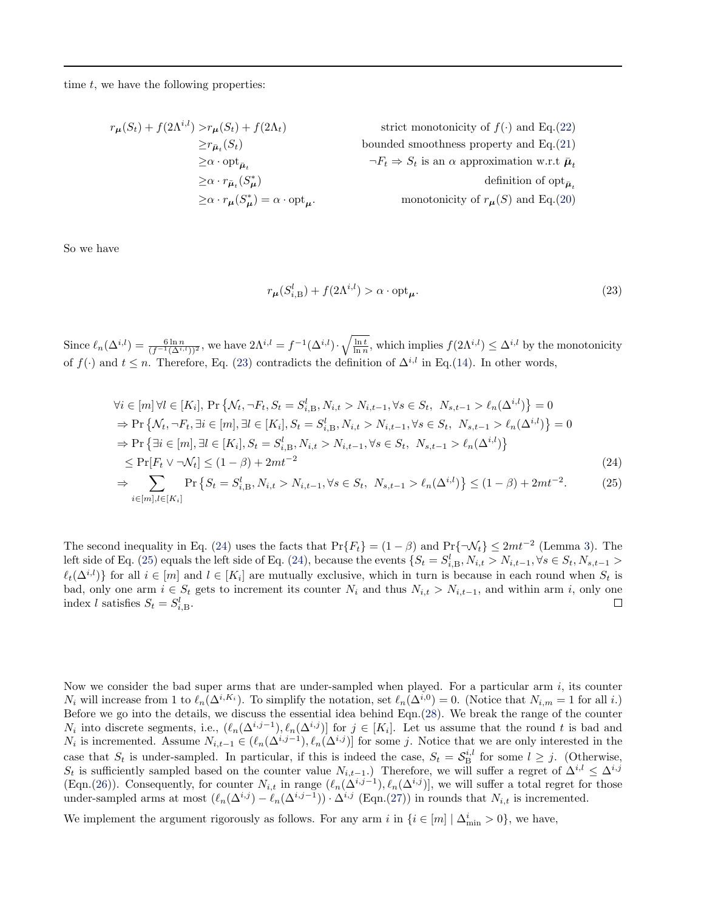time  $t$ , we have the following properties:

$$
r_{\mu}(S_t) + f(2\Lambda^{i,l}) > r_{\mu}(S_t) + f(2\Lambda_t)
$$
strict monotonicity of  $f(\cdot)$  and Eq.(22)  
\n
$$
\geq r_{\bar{\mu}_t}(S_t)
$$
 bounded smoothness property and Eq.(21)  
\n
$$
\geq \alpha \cdot \text{opt}_{\bar{\mu}_t}
$$
  
\n
$$
\geq \alpha \cdot r_{\bar{\mu}_t}(S_{\mu}^*)
$$
  
\n
$$
\geq \alpha \cdot r_{\mu}(S_{\mu}^*) = \alpha \cdot \text{opt}_{\mu}.
$$
monotonicity of  $r_{\mu}(S)$  and Eq.(20)

So we have

$$
r_{\mu}(S_{i,B}^l) + f(2\Lambda^{i,l}) > \alpha \cdot \text{opt}_{\mu}.\tag{23}
$$

Since  $\ell_n(\Delta^{i,l}) = \frac{6 \ln n}{(f^{-1}(\Delta^{i,l}))^2}$ , we have  $2\Lambda^{i,l} = f^{-1}(\Delta^{i,l}) \cdot \sqrt{\frac{\ln t}{\ln n}}$ , which implies  $f(2\Lambda^{i,l}) \leq \Delta^{i,l}$  by the monotonicity of  $f(\cdot)$  and  $t \leq n$ . Therefore, Eq. (23) contradicts the definition of  $\Delta^{i,l}$  in Eq.[\(14\)](#page-0-0). In other words,

$$
\forall i \in [m] \forall l \in [K_i], \Pr \{ \mathcal{N}_t, \neg F_t, S_t = S_{i,B}^l, N_{i,t} > N_{i,t-1}, \forall s \in S_t, N_{s,t-1} > \ell_n(\Delta^{i,l}) \} = 0
$$
\n
$$
\Rightarrow \Pr \{ \mathcal{N}_t, \neg F_t, \exists i \in [m], \exists l \in [K_i], S_t = S_{i,B}^l, N_{i,t} > N_{i,t-1}, \forall s \in S_t, N_{s,t-1} > \ell_n(\Delta^{i,l}) \} = 0
$$
\n
$$
\Rightarrow \Pr \{ \exists i \in [m], \exists l \in [K_i], S_t = S_{i,B}^l, N_{i,t} > N_{i,t-1}, \forall s \in S_t, N_{s,t-1} > \ell_n(\Delta^{i,l}) \}
$$
\n
$$
\le \Pr[F_t \vee \neg \mathcal{N}_t] \le (1 - \beta) + 2mt^{-2} \tag{24}
$$

$$
\Rightarrow \sum_{i \in [m], l \in [K_i]} \Pr\left\{ S_t = S_{i,B}^l, N_{i,t} > N_{i,t-1}, \forall s \in S_t, \ N_{s,t-1} > \ell_n(\Delta^{i,l}) \right\} \le (1 - \beta) + 2mt^{-2}.
$$
 (25)

The second inequality in Eq. (24) uses the facts that  $Pr{F_t} = (1 - \beta)$  and  $Pr{\lbrace \neg \mathcal{N}_t \rbrace} \leq 2mt^{-2}$  (Lemma [3\)](#page-0-0). The left side of Eq. (25) equals the left side of Eq. (24), because the events  $\{S_t = S_{i,B}^l, N_{i,t} > N_{i,t-1}, \forall s \in S_t, N_{s,t-1} >$  $\ell_t(\Delta^{i,l})$  for all  $i \in [m]$  and  $l \in [K_i]$  are mutually exclusive, which in turn is because in each round when  $S_t$  is bad, only one arm  $i \in S_t$  gets to increment its counter  $N_i$  and thus  $N_{i,t} > N_{i,t-1}$ , and within arm i, only one index l satisfies  $S_t = S_{i,B}^l$ .  $\Box$ 

Now we consider the bad super arms that are under-sampled when played. For a particular arm  $i$ , its counter  $N_i$  will increase from 1 to  $\ell_n(\Delta^{i,K_i})$ . To simplify the notation, set  $\ell_n(\Delta^{i,0}) = 0$ . (Notice that  $N_{i,m} = 1$  for all i.) Before we go into the details, we discuss the essential idea behind Eqn.[\(28\)](#page-4-0). We break the range of the counter  $N_i$  into discrete segments, i.e.,  $(\ell_n(\Delta^{i,j-1}), \ell_n(\Delta^{i,j})]$  for  $j \in [K_i]$ . Let us assume that the round t is bad and  $N_i$  is incremented. Assume  $N_{i,t-1}$  ∈  $(\ell_n(\Delta^{i,j-1}), \ell_n(\Delta^{i,j})]$  for some j. Notice that we are only interested in the case that  $S_t$  is under-sampled. In particular, if this is indeed the case,  $S_t = S_{\text{B}}^{i,l}$  for some  $l \geq j$ . (Otherwise, St is sufficiently sampled based on the counter value  $N_{i,t-1}$ .) Therefore, we will suffer a regret of  $\Delta^{i,l} \leq \Delta^{i,j}$ (Eqn.[\(26\)](#page-4-0)). Consequently, for counter  $N_{i,t}$  in range  $(\ell_n(\Delta^{i,j-1}), \ell_n(\Delta^{i,j})]$ , we will suffer a total regret for those under-sampled arms at most  $(\ell_n(\Delta^{i,j}) - \ell_n(\Delta^{i,j-1})) \cdot \Delta^{i,j}$  (Eqn.[\(27\)](#page-4-0)) in rounds that  $N_{i,t}$  is incremented.

We implement the argument rigorously as follows. For any arm i in  $\{i \in [m] \mid \Delta_{\min}^i > 0\}$ , we have,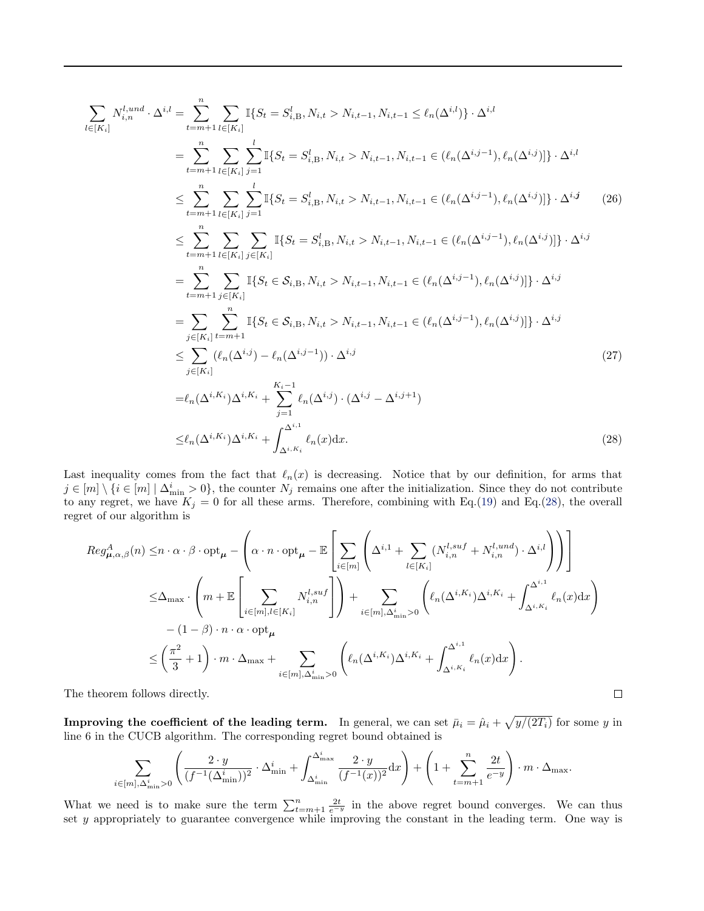<span id="page-4-0"></span>
$$
\sum_{l \in [K_{i}]} N_{i,n}^{l,und} \cdot \Delta^{i,l} = \sum_{t=m+1}^{n} \sum_{l \in [K_{i}]} \mathbb{I}\{S_{t} = S_{i,B}^{l}, N_{i,t} > N_{i,t-1}, N_{i,t-1} \leq \ell_{n}(\Delta^{i,l})\} \cdot \Delta^{i,l}
$$
\n
$$
= \sum_{t=m+1}^{n} \sum_{l \in [K_{i}]} \sum_{j=1}^{l} \mathbb{I}\{S_{t} = S_{i,B}^{l}, N_{i,t} > N_{i,t-1}, N_{i,t-1} \in (\ell_{n}(\Delta^{i,j-1}), \ell_{n}(\Delta^{i,j})]\} \cdot \Delta^{i,l}
$$
\n
$$
\leq \sum_{t=m+1}^{n} \sum_{l \in [K_{i}]} \sum_{j=1}^{l} \mathbb{I}\{S_{t} = S_{i,B}^{l}, N_{i,t} > N_{i,t-1}, N_{i,t-1} \in (\ell_{n}(\Delta^{i,j-1}), \ell_{n}(\Delta^{i,j})]\} \cdot \Delta^{i,j}
$$
\n
$$
\leq \sum_{t=m+1}^{n} \sum_{l \in [K_{i}]} \sum_{j \in [K_{i}]} \mathbb{I}\{S_{t} = S_{i,B}^{l}, N_{i,t} > N_{i,t-1}, N_{i,t-1} \in (\ell_{n}(\Delta^{i,j-1}), \ell_{n}(\Delta^{i,j})]\} \cdot \Delta^{i,j}
$$
\n
$$
= \sum_{t=m+1}^{n} \sum_{j \in [K_{i}]} \mathbb{I}\{S_{t} \in S_{i,B}, N_{i,t} > N_{i,t-1}, N_{i,t-1} \in (\ell_{n}(\Delta^{i,j-1}), \ell_{n}(\Delta^{i,j})]\} \cdot \Delta^{i,j}
$$
\n
$$
= \sum_{j \in [K_{i}]} \sum_{l \neq m+1} \mathbb{I}\{S_{t} \in S_{i,B}, N_{i,t} > N_{i,t-1}, N_{i,t-1} \in (\ell_{n}(\Delta^{i,j-1}), \ell_{n}(\Delta^{i,j})]\} \cdot \Delta^{i,j}
$$
\n
$$
\leq \sum_{j \in [K_{i}]} (\ell_{n}(\Delta^{i,j}) - \ell_{n}(\Delta^{i,j-1})) \cdot \Delta^{i,j}
$$
\n
$$
= \
$$

Last inequality comes from the fact that  $\ell_n(x)$  is decreasing. Notice that by our definition, for arms that  $j \in [m] \setminus \{i \in [m] \mid \Delta_{\min}^i > 0\}$ , the counter  $N_j$  remains one after the initialization. Since they do not contribute to any regret, we have  $K_j = 0$  for all these arms. Therefore, combining with Eq.[\(19\)](#page-2-0) and Eq.(28), the overall regret of our algorithm is

$$
Reg_{\mu,\alpha,\beta}^{A}(n) \leq n \cdot \alpha \cdot \beta \cdot opt_{\mu} - \left(\alpha \cdot n \cdot opt_{\mu} - \mathbb{E}\left[\sum_{i \in [m]} \left(\Delta^{i,1} + \sum_{l \in [K_{i}]} (N_{i,n}^{l,suf} + N_{i,n}^{l,und}) \cdot \Delta^{i,l}\right)\right)\right]
$$
  
\n
$$
\leq \Delta_{\max} \cdot \left(m + \mathbb{E}\left[\sum_{i \in [m], l \in [K_{i}]} N_{i,n}^{l,suf}\right]\right) + \sum_{i \in [m], \Delta_{\min}^{i} > 0} \left(\ell_{n}(\Delta^{i,K_{i}}) \Delta^{i,K_{i}} + \int_{\Delta^{i,K_{i}}}^{\Delta^{i,1}} \ell_{n}(x) dx\right)
$$
  
\n
$$
-(1 - \beta) \cdot n \cdot \alpha \cdot opt_{\mu}
$$
  
\n
$$
\leq \left(\frac{\pi^{2}}{3} + 1\right) \cdot m \cdot \Delta_{\max} + \sum_{i \in [m], \Delta_{\min}^{i} > 0} \left(\ell_{n}(\Delta^{i,K_{i}}) \Delta^{i,K_{i}} + \int_{\Delta^{i,K_{i}}}^{\Delta^{i,1}} \ell_{n}(x) dx\right).
$$
  
\ntheorem follows directly.

The theorem follows directly.

**Improving the coefficient of the leading term.** In general, we can set  $\bar{\mu}_i = \hat{\mu}_i + \sqrt{y/(2T_i)}$  for some y in line 6 in the CUCB algorithm. The corresponding regret bound obtained is

$$
\sum_{i \in [m], \Delta^i_{\min} > 0} \left( \frac{2 \cdot y}{(f^{-1}(\Delta^i_{\min}))^2} \cdot \Delta^i_{\min} + \int_{\Delta^i_{\min}}^{\Delta^i_{\max}} \frac{2 \cdot y}{(f^{-1}(x))^2} dx \right) + \left(1 + \sum_{t=m+1}^n \frac{2t}{e^{-y}}\right) \cdot m \cdot \Delta_{\max}.
$$

What we need is to make sure the term  $\sum_{t=m+1}^{n} \frac{2t}{e^{-y}}$  in the above regret bound converges. We can thus set y appropriately to guarantee convergence while improving the constant in the leading term. One way is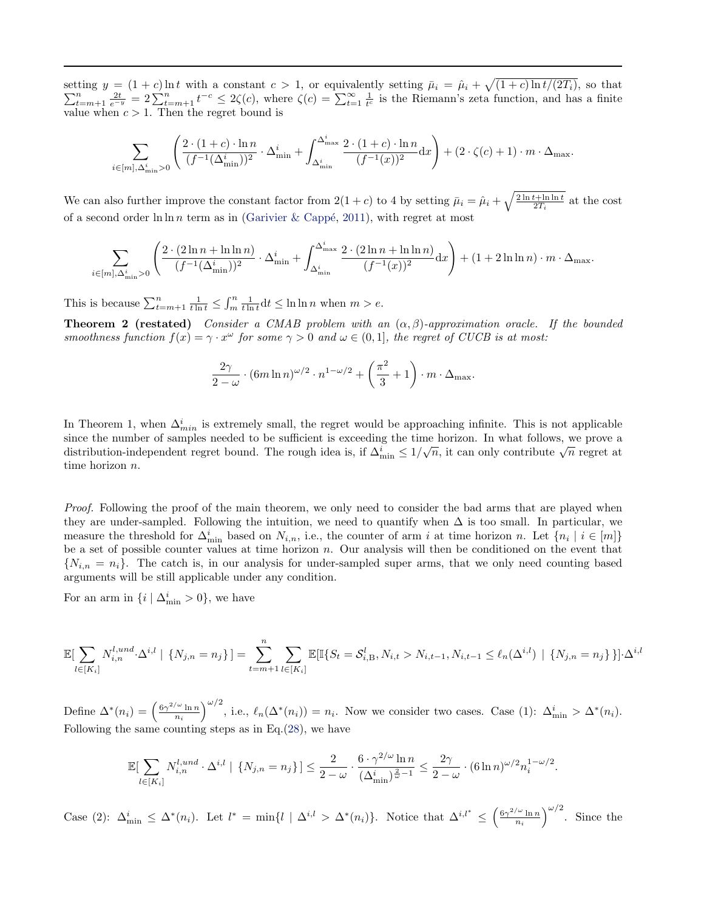setting  $y = (1+c) \ln t$  with a constant  $c > 1$ , or equivalently setting  $\bar{\mu}_i = \hat{\mu}_i + \sqrt{ }$  $\sum$ ting  $y = (1 + c) \ln t$  with a constant  $c > 1$ , or equivalently setting  $\bar{\mu}_i = \hat{\mu}_i + \sqrt{(1 + c) \ln t/(2T_i)}$ , so that  $\frac{n}{t+m+1} \frac{2t}{e^{-y}} = 2 \sum_{t=m+1}^{n} t^{-c} \leq 2\zeta(c)$ , where  $\zeta(c) = \sum_{t=1}^{\infty} \frac{1}{t^c}$  is the Riemann's zeta funct value when  $c > 1$ . Then the regret bound is

$$
\sum_{i \in [m], \Delta^i_{\min} > 0} \left( \frac{2 \cdot (1+c) \cdot \ln n}{(f^{-1}(\Delta^i_{\min}))^2} \cdot \Delta^i_{\min} + \int_{\Delta^i_{\min}}^{\Delta^i_{\max}} \frac{2 \cdot (1+c) \cdot \ln n}{(f^{-1}(x))^2} dx \right) + (2 \cdot \zeta(c) + 1) \cdot m \cdot \Delta_{\max}.
$$

We can also further improve the constant factor from  $2(1+c)$  to 4 by setting  $\bar{\mu}_i = \hat{\mu}_i + \sqrt{\frac{2 \ln t + \ln \ln t}{2T_i}}$  at the cost of a second order  $\ln \ln n$  term as in (Garivier & Cappé, [2011\)](#page-12-0), with regret at most

$$
\sum_{i\in[m],\Delta_{\min}^i>0} \left(\frac{2\cdot(2\ln n+\ln\ln n)}{(f^{-1}(\Delta_{\min}^i))^2}\cdot\Delta_{\min}^i+\int_{\Delta_{\min}^i}^{\Delta_{\max}^i}\frac{2\cdot(2\ln n+\ln\ln n)}{(f^{-1}(x))^2}\mathrm{d}x\right)+(1+2\ln\ln n)\cdot m\cdot\Delta_{\max}.
$$

This is because  $\sum_{t=m+1}^{n} \frac{1}{t \ln t} \leq \int_{m}^{n} \frac{1}{t \ln t} dt \leq \ln \ln n$  when  $m > e$ .

**Theorem 2 (restated)** Consider a CMAB problem with an  $(\alpha, \beta)$ -approximation oracle. If the bounded smoothness function  $f(x) = \gamma \cdot x^{\omega}$  for some  $\gamma > 0$  and  $\omega \in (0, 1]$ , the regret of CUCB is at most:

$$
\frac{2\gamma}{2-\omega} \cdot (6m\ln n)^{\omega/2} \cdot n^{1-\omega/2} + \left(\frac{\pi^2}{3} + 1\right) \cdot m \cdot \Delta_{\max}.
$$

In Theorem 1, when  $\Delta_{min}^i$  is extremely small, the regret would be approaching infinite. This is not applicable since the number of samples needed to be sufficient is exceeding the time horizon. In what follows, we prove a distribution-independent regret bound. The rough idea is, if  $\Delta_{\min}^i \leq 1/\sqrt{n}$ , it can only contribute  $\sqrt{n}$  regret at  $\Delta_{\min}^i$ time horizon n.

Proof. Following the proof of the main theorem, we only need to consider the bad arms that are played when they are under-sampled. Following the intuition, we need to quantify when  $\Delta$  is too small. In particular, we measure the threshold for  $\Delta_{\min}^i$  based on  $N_{i,n}$ , i.e., the counter of arm i at time horizon n. Let  $\{n_i \mid i \in [m]\}$ be a set of possible counter values at time horizon n. Our analysis will then be conditioned on the event that  $\{N_{i,n} = n_i\}$ . The catch is, in our analysis for under-sampled super arms, that we only need counting based arguments will be still applicable under any condition.

For an arm in  $\{i \mid \Delta_{\min}^i > 0\}$ , we have

$$
\mathbb{E}[\sum_{l \in [K_i]} N_{i,n}^{l, und} \cdot \Delta^{i,l} \mid \{N_{j,n} = n_j\}] = \sum_{t=m+1}^n \sum_{l \in [K_i]} \mathbb{E}[\mathbb{I}\{S_t = S_{i,B}^l, N_{i,t} > N_{i,t-1}, N_{i,t-1} \le \ell_n(\Delta^{i,l}) \mid \{N_{j,n} = n_j\}\}] \cdot \Delta^{i,l}
$$

Define  $\Delta^*(n_i) = \left(\frac{6\gamma^{2/\omega} \ln n}{n_i}\right)$  $\left(\frac{\omega \ln n}{n_i}\right)^{\omega/2}$ , i.e.,  $\ell_n(\Delta^*(n_i)) = n_i$ . Now we consider two cases. Case (1):  $\Delta_{\min}^i > \Delta^*(n_i)$ . Following the same counting steps as in Eq. $(28)$ , we have

$$
\mathbb{E}[\sum_{l \in [K_i]} N_{i,n}^{l, und} \cdot \Delta^{i,l} \mid \{N_{j,n} = n_j\}] \le \frac{2}{2 - \omega} \cdot \frac{6 \cdot \gamma^{2/\omega} \ln n}{(\Delta_{\min}^i)^{\frac{2}{\omega} - 1}} \le \frac{2\gamma}{2 - \omega} \cdot (6 \ln n)^{\omega/2} n_i^{1 - \omega/2}.
$$

Case (2):  $\Delta_{\min}^i \leq \Delta^*(n_i)$ . Let  $l^* = \min\{l \mid \Delta^{i,l} > \Delta^*(n_i)\}\$ . Notice that  $\Delta^{i,l^*} \leq \left(\frac{6\gamma^{2/\omega} \ln n}{n_i}\right)$  $\left(\frac{\omega \ln n}{n_i}\right)^{\omega/2}$ . Since the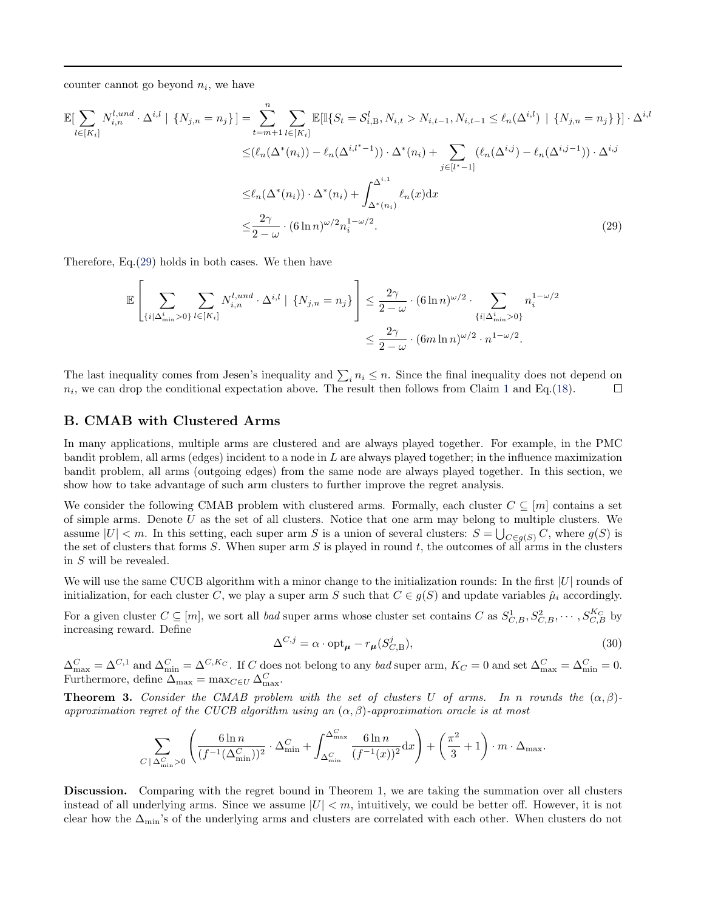<span id="page-6-0"></span>counter cannot go beyond  $n_i$ , we have

$$
\mathbb{E}[\sum_{l \in [K_{i}]} N_{i,n}^{l, und} \cdot \Delta^{i,l} \mid \{N_{j,n} = n_{j}\}] = \sum_{t=m+1}^{n} \sum_{l \in [K_{i}]} \mathbb{E}[\mathbb{I}\{S_{t} = S_{i,B}^{l}, N_{i,t} > N_{i,t-1}, N_{i,t-1} \leq \ell_{n}(\Delta^{i,l}) \mid \{N_{j,n} = n_{j}\}\}] \cdot \Delta^{i,l}
$$
  

$$
\leq (\ell_{n}(\Delta^{*}(n_{i})) - \ell_{n}(\Delta^{i,l^{*}-1})) \cdot \Delta^{*}(n_{i}) + \sum_{j \in [l^{*}-1]} (\ell_{n}(\Delta^{i,j}) - \ell_{n}(\Delta^{i,j-1})) \cdot \Delta^{i,j}
$$
  

$$
\leq \ell_{n}(\Delta^{*}(n_{i})) \cdot \Delta^{*}(n_{i}) + \int_{\Delta^{*}(n_{i})}^{\Delta^{i,1}} \ell_{n}(x) dx
$$
  

$$
\leq \frac{2\gamma}{2 - \omega} \cdot (6 \ln n)^{\omega/2} n_{i}^{1 - \omega/2}.
$$
 (29)

Therefore, Eq.(29) holds in both cases. We then have

$$
\mathbb{E}\left[\sum_{\{i|\Delta_{\min}^i>0\}}\sum_{l\in[K_i]}N_{i,n}^{l,und}\cdot\Delta^{i,l} \mid \{N_{j,n}=n_j\}\right] \leq \frac{2\gamma}{2-\omega}\cdot(6\ln n)^{\omega/2}\cdot\sum_{\{i|\Delta_{\min}^i>0\}}n_i^{1-\omega/2}
$$

$$
\leq \frac{2\gamma}{2-\omega}\cdot(6m\ln n)^{\omega/2}\cdot n^{1-\omega/2}.
$$

The last inequality comes from Jesen's inequality and  $\sum_i n_i \leq n$ . Since the final inequality does not depend on  $n_i$ , we can drop the conditional expectation above. The result then follows from Claim [1](#page-2-0) and Eq.[\(18\)](#page-2-0).  $\Box$ 

### B. CMAB with Clustered Arms

In many applications, multiple arms are clustered and are always played together. For example, in the PMC bandit problem, all arms (edges) incident to a node in L are always played together; in the influence maximization bandit problem, all arms (outgoing edges) from the same node are always played together. In this section, we show how to take advantage of such arm clusters to further improve the regret analysis.

We consider the following CMAB problem with clustered arms. Formally, each cluster  $C \subseteq [m]$  contains a set of simple arms. Denote  $U$  as the set of all clusters. Notice that one arm may belong to multiple clusters. We assume  $|U| < m$ . In this setting, each super arm S is a union of several clusters:  $S = \bigcup_{C \in g(S)} C$ , where  $g(S)$  is the set of clusters that forms S. When super arm S is played in round t, the outcomes of all arms in the clusters in S will be revealed.

We will use the same CUCB algorithm with a minor change to the initialization rounds: In the first  $|U|$  rounds of initialization, for each cluster C, we play a super arm S such that  $C \in g(S)$  and update variables  $\hat{\mu}_i$  accordingly.

For a given cluster  $C \subseteq [m]$ , we sort all bad super arms whose cluster set contains C as  $S^1_{C,B}, S^2_{C,B}, \cdots, S^{K_C}_{C,B}$  by increasing reward. Define

$$
\Delta^{C,j} = \alpha \cdot \mathrm{opt}_{\mu} - r_{\mu}(S_{C,\mathcal{B}}^j),\tag{30}
$$

 $\Delta_{\text{max}}^C = \Delta^{C,1}$  and  $\Delta_{\text{min}}^C = \Delta^{C,K_C}$ . If C does not belong to any bad super arm,  $K_C = 0$  and set  $\Delta_{\text{max}}^C = \Delta_{\text{min}}^C = 0$ . Furthermore, define  $\Delta_{\text{max}} = \max_{C \in U} \Delta_{\text{max}}^C$ .

**Theorem 3.** Consider the CMAB problem with the set of clusters U of arms. In n rounds the  $(\alpha, \beta)$ approximation regret of the CUCB algorithm using an  $(\alpha, \beta)$ -approximation oracle is at most

$$
\sum_{C \,|\,\Delta_{\min}^C > 0} \left( \frac{6\ln n}{(f^{-1}(\Delta_{\min}^C))^2} \cdot \Delta_{\min}^C + \int_{\Delta_{\min}^C}^{\Delta_{\max}^C} \frac{6\ln n}{(f^{-1}(x))^2} \mathrm{d}x \right) + \left( \frac{\pi^2}{3} + 1 \right) \cdot m \cdot \Delta_{\max}.
$$

Discussion. Comparing with the regret bound in Theorem 1, we are taking the summation over all clusters instead of all underlying arms. Since we assume  $|U| < m$ , intuitively, we could be better off. However, it is not clear how the  $\Delta_{\text{min}}$ 's of the underlying arms and clusters are correlated with each other. When clusters do not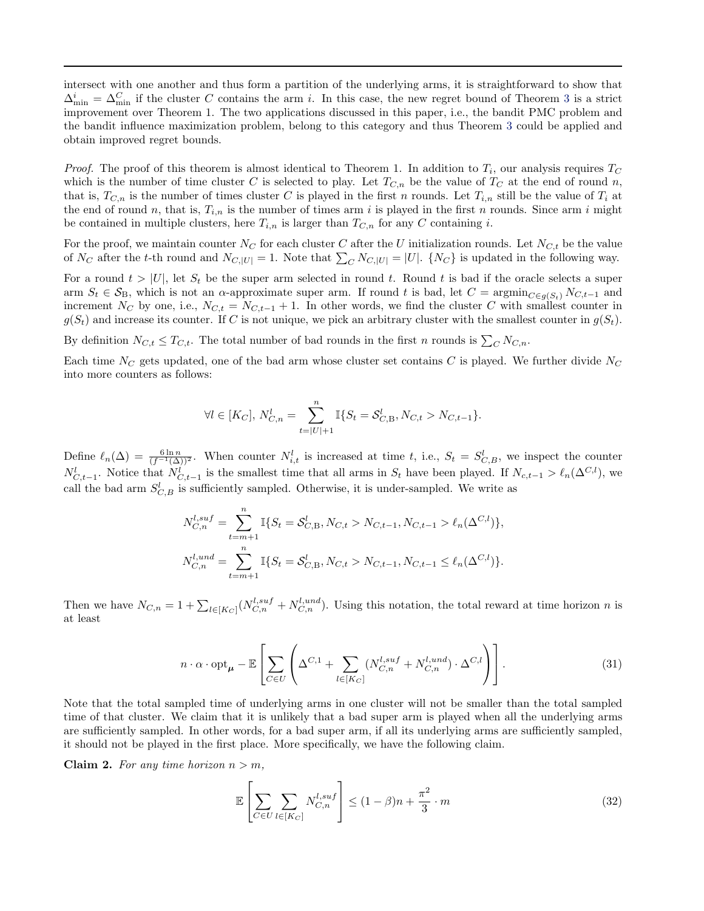<span id="page-7-0"></span>intersect with one another and thus form a partition of the underlying arms, it is straightforward to show that  $\Delta_{\min}^i = \Delta_{\min}^C$  if the cluster C contains the arm i. In this case, the new regret bound of Theorem [3](#page-6-0) is a strict improvement over Theorem 1. The two applications discussed in this paper, i.e., the bandit PMC problem and the bandit influence maximization problem, belong to this category and thus Theorem [3](#page-6-0) could be applied and obtain improved regret bounds.

*Proof.* The proof of this theorem is almost identical to Theorem 1. In addition to  $T_i$ , our analysis requires  $T_C$ which is the number of time cluster C is selected to play. Let  $T_{C,n}$  be the value of  $T_C$  at the end of round n, that is,  $T_{C,n}$  is the number of times cluster C is played in the first n rounds. Let  $T_{i,n}$  still be the value of  $T_i$  at the end of round n, that is,  $T_{i,n}$  is the number of times arm i is played in the first n rounds. Since arm i might be contained in multiple clusters, here  $T_{i,n}$  is larger than  $T_{C,n}$  for any C containing i.

For the proof, we maintain counter  $N_C$  for each cluster C after the U initialization rounds. Let  $N_{C,t}$  be the value of  $N_C$  after the t-th round and  $N_{C,|U|} = 1$ . Note that  $\sum_C N_{C,|U|} = |U|$ .  $\{N_C\}$  is updated in the following way.

For a round  $t > |U|$ , let  $S_t$  be the super arm selected in round t. Round t is bad if the oracle selects a super arm  $S_t \in S_B$ , which is not an  $\alpha$ -approximate super arm. If round t is bad, let  $C = \operatorname{argmin}_{C \in g(S_t)} N_{C,t-1}$  and increment N<sub>C</sub> by one, i.e.,  $N_{C,t} = N_{C,t-1} + 1$ . In other words, we find the cluster C with smallest counter in  $g(S_t)$  and increase its counter. If C is not unique, we pick an arbitrary cluster with the smallest counter in  $g(S_t)$ .

By definition  $N_{C,t} \leq T_{C,t}$ . The total number of bad rounds in the first n rounds is  $\sum_{C} N_{C,n}$ .

Each time  $N_C$  gets updated, one of the bad arm whose cluster set contains C is played. We further divide  $N_C$ into more counters as follows:

$$
\forall l \in [K_C], N_{C,n}^l = \sum_{t=|U|+1}^n \mathbb{I}\{S_t = S_{C,B}^l, N_{C,t} > N_{C,t-1}\}.
$$

Define  $\ell_n(\Delta) = \frac{6 \ln n}{(f^{-1}(\Delta))^2}$ . When counter  $N_{i,t}^l$  is increased at time t, i.e.,  $S_t = S_{C,B}^l$ , we inspect the counter  $N_{C,t-1}^l$ . Notice that  $N_{C,t-1}^l$  is the smallest time that all arms in  $S_t$  have been played. If  $N_{c,t-1} > \ell_n(\Delta^{C,l})$ , we call the bad arm  $S_{C,B}^l$  is sufficiently sampled. Otherwise, it is under-sampled. We write as

$$
N_{C,n}^{l,suf} = \sum_{t=m+1}^{n} \mathbb{I}\{S_t = \mathcal{S}_{C,B}^l, N_{C,t} > N_{C,t-1}, N_{C,t-1} > \ell_n(\Delta^{C,l})\},
$$
  

$$
N_{C,n}^{l,und} = \sum_{t=m+1}^{n} \mathbb{I}\{S_t = \mathcal{S}_{C,B}^l, N_{C,t} > N_{C,t-1}, N_{C,t-1} \le \ell_n(\Delta^{C,l})\}.
$$

Then we have  $N_{C,n} = 1 + \sum_{l \in [K_C]} (N_{C,n}^{l,suf} + N_{C,n}^{l,und})$ . Using this notation, the total reward at time horizon n is at least

$$
n \cdot \alpha \cdot \mathrm{opt}_{\mu} - \mathbb{E}\left[\sum_{C \in U} \left(\Delta^{C,1} + \sum_{l \in [K_C]} (N_{C,n}^{l,suf} + N_{C,n}^{l,und}) \cdot \Delta^{C,l}\right)\right].
$$
\n(31)

Note that the total sampled time of underlying arms in one cluster will not be smaller than the total sampled time of that cluster. We claim that it is unlikely that a bad super arm is played when all the underlying arms are sufficiently sampled. In other words, for a bad super arm, if all its underlying arms are sufficiently sampled, it should not be played in the first place. More specifically, we have the following claim.

Claim 2. For any time horizon  $n > m$ ,

$$
\mathbb{E}\left[\sum_{C\in U}\sum_{l\in[K_C]}N_{C,n}^{l,suf}\right] \le (1-\beta)n + \frac{\pi^2}{3}\cdot m\tag{32}
$$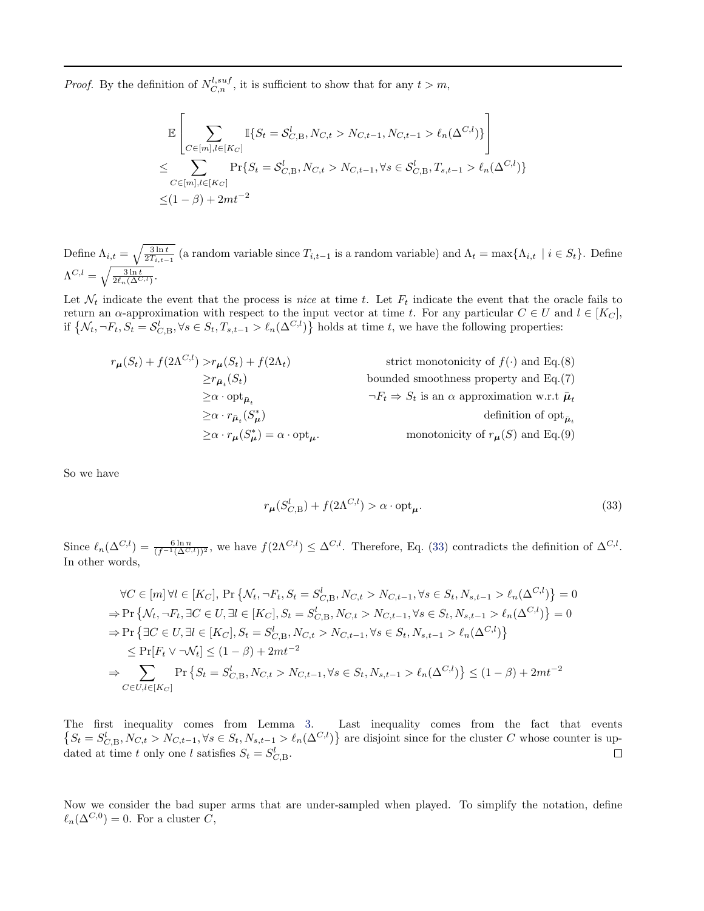*Proof.* By the definition of  $N_{C,n}^{l,suf}$ , it is sufficient to show that for any  $t > m$ ,

$$
\mathbb{E}\left[\sum_{C \in [m], l \in [K_C]} \mathbb{I}\{S_t = S_{C, B}^l, N_{C, t} > N_{C, t-1}, N_{C, t-1} > \ell_n(\Delta^{C, l})\}\right]
$$
\n
$$
\leq \sum_{C \in [m], l \in [K_C]} \Pr\{S_t = S_{C, B}^l, N_{C, t} > N_{C, t-1}, \forall s \in S_{C, B}^l, T_{s, t-1} > \ell_n(\Delta^{C, l})\}
$$
\n
$$
\leq (1 - \beta) + 2mt^{-2}
$$

Define  $\Lambda_{i,t} = \sqrt{\frac{3 \ln t}{2T_{i,t-1}}}$  (a random variable since  $T_{i,t-1}$  is a random variable) and  $\Lambda_t = \max\{\Lambda_{i,t} \mid i \in S_t\}$ . Define  $\Lambda^{C,l} = \sqrt{\frac{3\ln t}{2\ell_n(\Delta^{C,l})}}.$ 

Let  $\mathcal{N}_t$  indicate the event that the process is nice at time t. Let  $F_t$  indicate the event that the oracle fails to return an  $\alpha$ -approximation with respect to the input vector at time t. For any particular  $C \in U$  and  $l \in [K_C]$ , if  $\{\mathcal{N}_t, \neg F_t, S_t = \mathcal{S}_{C,B}^l, \forall s \in S_t, T_{s,t-1} > \ell_n(\Delta^{C,l})\}\$  holds at time t, we have the following properties:

$$
r_{\mu}(S_t) + f(2\Lambda^{C,l}) > r_{\mu}(S_t) + f(2\Lambda_t)
$$
strict monotonicity of  $f(\cdot)$  and Eq.(8)  
\n
$$
\ge r_{\bar{\mu}_t}(S_t)
$$
 bounded smoothness property and Eq.(7)  
\n
$$
\ge \alpha \cdot \text{opt}_{\bar{\mu}_t}
$$
  
\n
$$
\ge \alpha \cdot r_{\bar{\mu}_t}(S_{\mu}^*)
$$
  
\n
$$
\ge \alpha \cdot r_{\mu}(S_{\mu}^*) = \alpha \cdot \text{opt}_{\mu}.
$$
monotonicity of  $r_{\mu}(S)$  and Eq.(9)

So we have

$$
r_{\mu}(S_{C,\mathcal{B}}^{l}) + f(2\Lambda^{C,l}) > \alpha \cdot \text{opt}_{\mu}.
$$
\n(33)

Since  $\ell_n(\Delta^{C,l}) = \frac{6 \ln n}{(f^{-1}(\Delta^{C,l}))^2}$ , we have  $f(2\Lambda^{C,l}) \leq \Delta^{C,l}$ . Therefore, Eq. (33) contradicts the definition of  $\Delta^{C,l}$ . In other words,

$$
\forall C \in [m] \forall l \in [K_C], \Pr\{N_t, \neg F_t, S_t = S_{C, B}^l, N_{C, t} > N_{C, t-1}, \forall s \in S_t, N_{s, t-1} > \ell_n(\Delta^{C, l})\} = 0
$$
\n
$$
\Rightarrow \Pr\{N_t, \neg F_t, \exists C \in U, \exists l \in [K_C], S_t = S_{C, B}^l, N_{C, t} > N_{C, t-1}, \forall s \in S_t, N_{s, t-1} > \ell_n(\Delta^{C, l})\} = 0
$$
\n
$$
\Rightarrow \Pr\{\exists C \in U, \exists l \in [K_C], S_t = S_{C, B}^l, N_{C, t} > N_{C, t-1}, \forall s \in S_t, N_{s, t-1} > \ell_n(\Delta^{C, l})\}
$$
\n
$$
\leq \Pr[F_t \lor \neg N_t] \leq (1 - \beta) + 2mt^{-2}
$$
\n
$$
\Rightarrow \sum_{C \in U, l \in [K_C]} \Pr\{S_t = S_{C, B}^l, N_{C, t} > N_{C, t-1}, \forall s \in S_t, N_{s, t-1} > \ell_n(\Delta^{C, l})\} \leq (1 - \beta) + 2mt^{-2}
$$

The first inequality comes from Lemma [3.](#page-0-0) Last inequality comes from the fact that events  $\{S_t = S_{C,B}^l, N_{C,t} > N_{C,t-1}, \forall s \in S_t, N_{s,t-1} > \ell_n(\Delta^{C,l})\}$  are disjoint since for the cluster C whose counter is updated at time t only one l satisfies  $S_t = S_{C,B}^l$ .  $\Box$ 

Now we consider the bad super arms that are under-sampled when played. To simplify the notation, define  $\ell_n(\Delta^{C,0}) = 0$ . For a cluster C,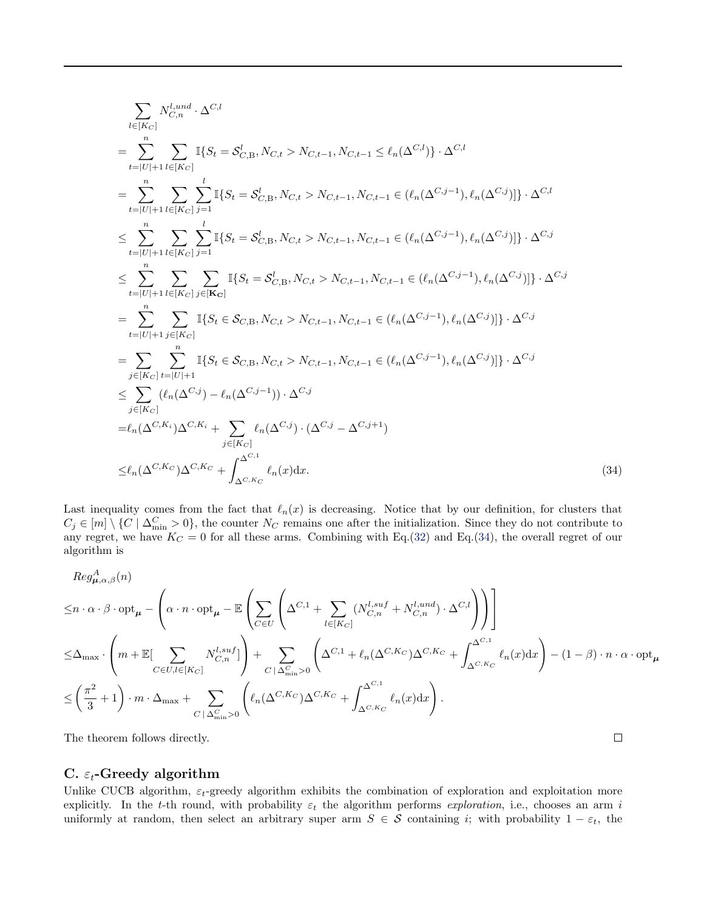$$
\sum_{l\in[K_C]} N_{C,n}^{l, und} \cdot \Delta^{C,l}
$$
\n
$$
= \sum_{t=|U|+1}^{n} \sum_{l\in[K_C]} \mathbb{I}\{S_t = S_{C,B}^l, N_{C,t} > N_{C,t-1}, N_{C,t-1} \leq \ell_n(\Delta^{C,l})\} \cdot \Delta^{C,l}
$$
\n
$$
= \sum_{t=|U|+1}^{n} \sum_{l\in[K_C]} \sum_{j=1}^{l} \mathbb{I}\{S_t = S_{C,B}^l, N_{C,t} > N_{C,t-1}, N_{C,t-1} \in (\ell_n(\Delta^{C,j-1}), \ell_n(\Delta^{C,j}))\} \cdot \Delta^{C,l}
$$
\n
$$
\leq \sum_{t=|U|+1}^{n} \sum_{l\in[K_C]} \sum_{j=1}^{l} \mathbb{I}\{S_t = S_{C,B}^l, N_{C,t} > N_{C,t-1}, N_{C,t-1} \in (\ell_n(\Delta^{C,j-1}), \ell_n(\Delta^{C,j}))\} \cdot \Delta^{C,j}
$$
\n
$$
\leq \sum_{t=|U|+1}^{n} \sum_{l\in[K_C]} \sum_{j\in[K_C]} \mathbb{I}\{S_t = S_{C,B}^l, N_{C,t} > N_{C,t-1}, N_{C,t-1} \in (\ell_n(\Delta^{C,j-1}), \ell_n(\Delta^{C,j}))\} \cdot \Delta^{C,j}
$$
\n
$$
= \sum_{t=|U|+1}^{n} \sum_{j\in[K_C]} \mathbb{I}\{S_t \in S_{C,B}, N_{C,t} > N_{C,t-1}, N_{C,t-1} \in (\ell_n(\Delta^{C,j-1}), \ell_n(\Delta^{C,j}))\} \cdot \Delta^{C,j}
$$
\n
$$
= \sum_{j\in[K_C]} \sum_{l\in[U|+1}^{n} \mathbb{I}\{S_t \in S_{C,B}, N_{C,t} > N_{C,t-1}, N_{C,t-1} \in (\ell_n(\Delta^{C,j-1}), \ell_n(\Delta^{C,j}))\} \cdot \Delta^{C,j}
$$
\n
$$
\leq \sum_{j\in[K_C]} (\ell_n(\Delta^{C,j}) - \ell_n(\Delta^{C,j-1})) \cdot \Delta^{C,j}
$$
\n
$$
= \ell_n(\Delta^{C,K_1})\Delta^{C,K_1} + \sum_{j\in[K_C]} \ell_n(\Delta^{C,j}) \
$$

Last inequality comes from the fact that  $\ell_n(x)$  is decreasing. Notice that by our definition, for clusters that  $C_j \in [m] \setminus \{C \mid \Delta_{\min}^C > 0\}$ , the counter  $N_C$  remains one after the initialization. Since they do not contribute to any regret, we have  $K_C = 0$  for all these arms. Combining with Eq.[\(32\)](#page-7-0) and Eq.(34), the overall regret of our algorithm is

$$
Reg_{\mu,\alpha,\beta}^{A}(n)
$$
\n
$$
\leq n \cdot \alpha \cdot \beta \cdot opt_{\mu} - \left(\alpha \cdot n \cdot opt_{\mu} - \mathbb{E}\left(\sum_{C \in U} \left(\Delta^{C,1} + \sum_{l \in [K_C]} (N_{C,n}^{l,suf} + N_{C,n}^{l,und}) \cdot \Delta^{C,l}\right)\right)\right]
$$
\n
$$
\leq \Delta_{\max} \cdot \left(m + \mathbb{E}[\sum_{C \in U, l \in [K_C]} N_{C,n}^{l,suf}]\right) + \sum_{C \mid \Delta_{\min}^{C} > 0} \left(\Delta^{C,1} + \ell_n(\Delta^{C,K_C})\Delta^{C,K_C} + \int_{\Delta^{C,1}}^{\Delta^{C,1}} \ell_n(x)dx\right) - (1 - \beta) \cdot n \cdot \alpha \cdot opt_{\mu}
$$
\n
$$
\leq \left(\frac{\pi^2}{3} + 1\right) \cdot m \cdot \Delta_{\max} + \sum_{C \mid \Delta_{\min}^{C} > 0} \left(\ell_n(\Delta^{C,K_C})\Delta^{C,K_C} + \int_{\Delta^{C,K_C}}^{\Delta^{C,1}} \ell_n(x)dx\right).
$$

 $\Box$ 

The theorem follows directly.

#### C.  $\varepsilon_t$ -Greedy algorithm

Unlike CUCB algorithm,  $\varepsilon_t$ -greedy algorithm exhibits the combination of exploration and exploitation more explicitly. In the t-th round, with probability  $\varepsilon_t$  the algorithm performs exploration, i.e., chooses an arm i uniformly at random, then select an arbitrary super arm  $S \in \mathcal{S}$  containing i; with probability  $1 - \varepsilon_t$ , the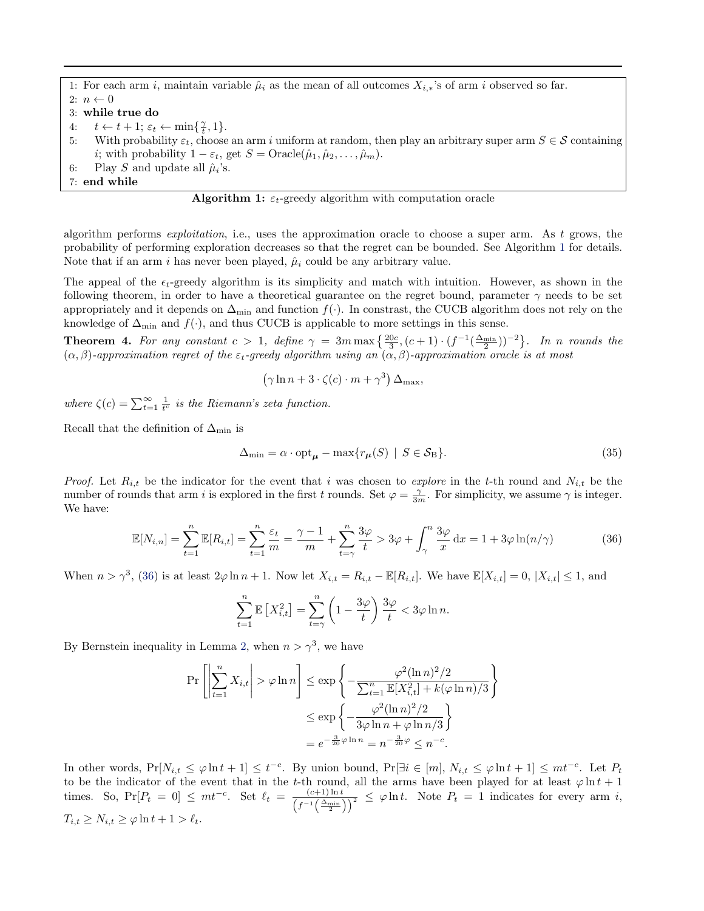<span id="page-10-0"></span>1: For each arm i, maintain variable  $\hat{\mu}_i$  as the mean of all outcomes  $X_{i,*}$ 's of arm i observed so far. 2:  $n \leftarrow 0$ 3: while true do

- 4:  $t \leftarrow t + 1; \varepsilon_t \leftarrow \min\{\frac{\gamma}{t}, 1\}.$
- 5: With probability  $\varepsilon_t$ , choose an arm i uniform at random, then play an arbitrary super arm  $S \in \mathcal{S}$  containing *i*; with probability  $1 - \varepsilon_t$ , get  $S = \text{Oracle}(\hat{\mu}_1, \hat{\mu}_2, \dots, \hat{\mu}_m)$ .
- 6: Play S and update all  $\hat{\mu}_i$ 's.
- 7: end while



algorithm performs exploitation, i.e., uses the approximation oracle to choose a super arm. As t grows, the probability of performing exploration decreases so that the regret can be bounded. See Algorithm 1 for details. Note that if an arm i has never been played,  $\hat{\mu}_i$  could be any arbitrary value.

The appeal of the  $\epsilon_t$ -greedy algorithm is its simplicity and match with intuition. However, as shown in the following theorem, in order to have a theoretical guarantee on the regret bound, parameter  $\gamma$  needs to be set appropriately and it depends on  $\Delta_{\text{min}}$  and function  $f(.)$ . In constrast, the CUCB algorithm does not rely on the knowledge of  $\Delta_{\text{min}}$  and  $f(\cdot)$ , and thus CUCB is applicable to more settings in this sense.

**Theorem 4.** For any constant  $c > 1$ , define  $\gamma = 3m \max\left\{\frac{20c}{3}, (c+1) \cdot (f^{-1}(\frac{\Delta_{\min}}{2}))^{-2}\right\}$ . In n rounds the  $(\alpha, \beta)$ -approximation regret of the  $\varepsilon_t$ -greedy algorithm using an  $(\alpha, \beta)$ -approximation oracle is at most

$$
(\gamma \ln n + 3 \cdot \zeta(c) \cdot m + \gamma^3) \Delta_{\max},
$$

where  $\zeta(c) = \sum_{t=1}^{\infty} \frac{1}{t^c}$  is the Riemann's zeta function.

Recall that the definition of  $\Delta_{\min}$  is

$$
\Delta_{\min} = \alpha \cdot \text{opt}_{\mu} - \max\{r_{\mu}(S) \mid S \in \mathcal{S}_{B}\}.
$$
\n(35)

*Proof.* Let  $R_{i,t}$  be the indicator for the event that i was chosen to explore in the t-th round and  $N_{i,t}$  be the number of rounds that arm i is explored in the first t rounds. Set  $\varphi = \frac{\gamma}{3m}$ . For simplicity, we assume  $\gamma$  is integer. We have:

$$
\mathbb{E}[N_{i,n}] = \sum_{t=1}^{n} \mathbb{E}[R_{i,t}] = \sum_{t=1}^{n} \frac{\varepsilon_t}{m} = \frac{\gamma - 1}{m} + \sum_{t=\gamma}^{n} \frac{3\varphi}{t} > 3\varphi + \int_{\gamma}^{n} \frac{3\varphi}{x} dx = 1 + 3\varphi \ln(n/\gamma)
$$
(36)

When  $n > \gamma^3$ , (36) is at least  $2\varphi \ln n + 1$ . Now let  $X_{i,t} = R_{i,t} - \mathbb{E}[R_{i,t}]$ . We have  $\mathbb{E}[X_{i,t}] = 0$ ,  $|X_{i,t}| \leq 1$ , and

$$
\sum_{t=1}^{n} \mathbb{E}\left[X_{i,t}^2\right] = \sum_{t=\gamma}^{n} \left(1 - \frac{3\varphi}{t}\right) \frac{3\varphi}{t} < 3\varphi \ln n.
$$

By Bernstein inequality in Lemma [2,](#page-0-0) when  $n > \gamma^3$ , we have

$$
\Pr\left[\left|\sum_{t=1}^{n} X_{i,t}\right| > \varphi \ln n\right] \le \exp\left\{-\frac{\varphi^{2}(\ln n)^{2}/2}{\sum_{t=1}^{n} \mathbb{E}[X_{i,t}^{2}] + k(\varphi \ln n)/3}\right\}
$$

$$
\le \exp\left\{-\frac{\varphi^{2}(\ln n)^{2}/2}{3\varphi \ln n + \varphi \ln n/3}\right\}
$$

$$
= e^{-\frac{3}{20}\varphi \ln n} = n^{-\frac{3}{20}\varphi} \le n^{-c}.
$$

In other words,  $Pr[N_{i,t} \leq \varphi \ln t + 1] \leq t^{-c}$ . By union bound,  $Pr[\exists i \in [m], N_{i,t} \leq \varphi \ln t + 1] \leq mt^{-c}$ . Let  $P_t$ to be the indicator of the event that in the t-th round, all the arms have been played for at least  $\varphi \ln t + 1$ times. So,  $Pr[P_t = 0] \leq m t^{-c}$ . Set  $\ell_t = \frac{(c+1)\ln t}{(c+1)(\Delta-t)}$  $\frac{(c+1)\ln t}{(f^{-1}(\frac{\Delta_{\min}}{2}))^2} \leq \varphi \ln t$ . Note  $P_t = 1$  indicates for every arm *i*,  $T_{i,t} \geq N_{i,t} \geq \varphi \ln t + 1 > \ell_t.$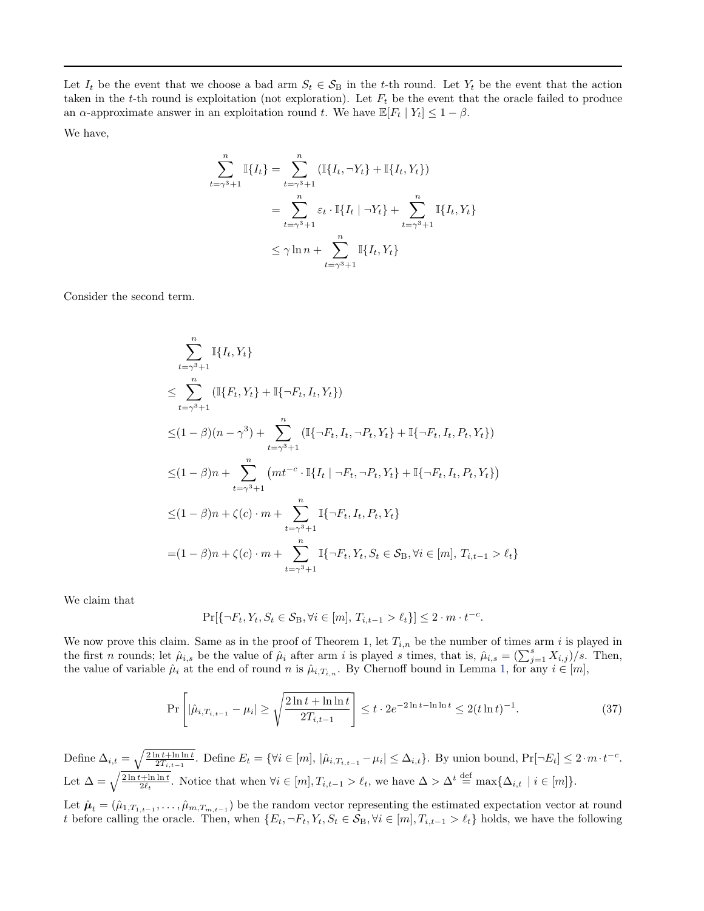Let  $I_t$  be the event that we choose a bad arm  $S_t \in S_B$  in the t-th round. Let  $Y_t$  be the event that the action taken in the t-th round is exploitation (not exploration). Let  $F_t$  be the event that the oracle failed to produce an  $\alpha$ -approximate answer in an exploitation round t. We have  $\mathbb{E}[F_t | Y_t] \leq 1 - \beta$ .

We have,

$$
\sum_{t=\gamma^3+1}^{n} \mathbb{I}{I_t} = \sum_{t=\gamma^3+1}^{n} (\mathbb{I}{I_t, \neg Y_t} + \mathbb{I}{I_t, Y_t})
$$
  
= 
$$
\sum_{t=\gamma^3+1}^{n} \varepsilon_t \cdot \mathbb{I}{I_t | \neg Y_t} + \sum_{t=\gamma^3+1}^{n} \mathbb{I}{I_t, Y_t}
$$
  

$$
\leq \gamma \ln n + \sum_{t=\gamma^3+1}^{n} \mathbb{I}{I_t, Y_t}
$$

Consider the second term.

$$
\sum_{t=\gamma^{3}+1}^{n} \mathbb{I}\{I_{t}, Y_{t}\}
$$
\n
$$
\leq \sum_{t=\gamma^{3}+1}^{n} (\mathbb{I}\{F_{t}, Y_{t}\} + \mathbb{I}\{\neg F_{t}, I_{t}, Y_{t}\})
$$
\n
$$
\leq (1-\beta)(n-\gamma^{3}) + \sum_{t=\gamma^{3}+1}^{n} (\mathbb{I}\{\neg F_{t}, I_{t}, \neg P_{t}, Y_{t}\} + \mathbb{I}\{\neg F_{t}, I_{t}, P_{t}, Y_{t}\})
$$
\n
$$
\leq (1-\beta)n + \sum_{t=\gamma^{3}+1}^{n} (mt^{-c} \cdot \mathbb{I}\{I_{t} | \neg F_{t}, \neg P_{t}, Y_{t}\} + \mathbb{I}\{\neg F_{t}, I_{t}, P_{t}, Y_{t}\})
$$
\n
$$
\leq (1-\beta)n + \zeta(c) \cdot m + \sum_{t=\gamma^{3}+1}^{n} \mathbb{I}\{\neg F_{t}, I_{t}, P_{t}, Y_{t}\}
$$
\n
$$
= (1-\beta)n + \zeta(c) \cdot m + \sum_{t=\gamma^{3}+1}^{n} \mathbb{I}\{\neg F_{t}, Y_{t}, S_{t} \in S_{B}, \forall i \in [m], T_{i,t-1} > \ell_{t}\}
$$

We claim that

$$
\Pr[\{\neg F_t, Y_t, S_t \in \mathcal{S}_{\mathcal{B}}, \forall i \in [m], T_{i,t-1} > \ell_t\}] \le 2 \cdot m \cdot t^{-c}.
$$

We now prove this claim. Same as in the proof of Theorem 1, let  $T_{i,n}$  be the number of times arm i is played in the first *n* rounds; let  $\hat{\mu}_{i,s}$  be the value of  $\hat{\mu}_i$  after arm *i* is played *s* times, that is,  $\hat{\mu}_{i,s} = (\sum_{j=1}^s X_{i,j})/s$ . Then, the value of variable  $\hat{\mu}_i$  at the end of round n is  $\hat{\mu}_{i,T_{i,n}}$ . By Chernoff bound in Lemma [1,](#page-0-0) for any  $i \in [m]$ ,

$$
\Pr\left[|\hat{\mu}_{i,T_{i,t-1}} - \mu_i| \ge \sqrt{\frac{2\ln t + \ln \ln t}{2T_{i,t-1}}}\right] \le t \cdot 2e^{-2\ln t - \ln \ln t} \le 2(t \ln t)^{-1}.\tag{37}
$$

Define  $\Delta_{i,t} = \sqrt{\frac{2 \ln t + \ln \ln t}{2T_{i,t-1}}}.$  Define  $E_t = \{ \forall i \in [m], |\hat{\mu}_{i,T_{i,t-1}} - \mu_i| \leq \Delta_{i,t} \}.$  By union bound,  $\Pr[\neg E_t] \leq 2 \cdot m \cdot t^{-c}.$ Let  $\Delta = \sqrt{\frac{2 \ln t + \ln \ln t}{2\ell_t}}$ . Notice that when  $\forall i \in [m], T_{i,t-1} > \ell_t$ , we have  $\Delta > \Delta^t \stackrel{\text{def}}{=} \max\{\Delta_{i,t} \mid i \in [m]\}.$ 

Let  $\hat{\mu}_t = (\hat{\mu}_{1,T_{1,t-1}},\ldots,\hat{\mu}_{m,T_{m,t-1}})$  be the random vector representing the estimated expectation vector at round t before calling the oracle. Then, when  $\{E_t, \neg F_t, Y_t, S_t \in S_B, \forall i \in [m], T_{i,t-1} > \ell_t\}$  holds, we have the following